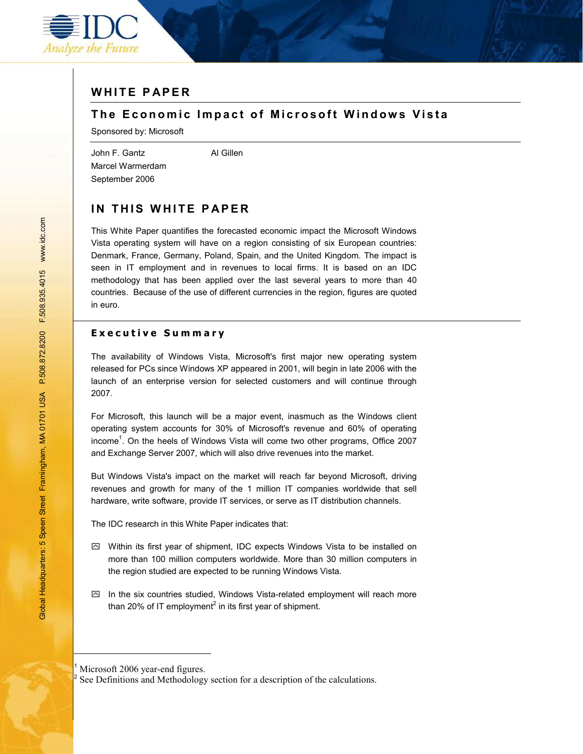

# **WHITE PAPER**

## **The Economic Impact of Microsoft Windows Vista**

Sponsored by: Microsoft

John F. Gantz **Al Gillen** Marcel Warmerdam September 2006

# **IN THIS WHITE PAPER**

This White Paper quantifies the forecasted economic impact the Microsoft Windows Vista operating system will have on a region consisting of six European countries: Denmark, France, Germany, Poland, Spain, and the United Kingdom. The impact is seen in IT employment and in revenues to local firms. It is based on an IDC methodology that has been applied over the last several years to more than 40 countries. Because of the use of different currencies in the region, figures are quoted in euro.

### **Executive Summary**

The availability of Windows Vista, Microsoft's first major new operating system released for PCs since Windows XP appeared in 2001, will begin in late 2006 with the launch of an enterprise version for selected customers and will continue through 2007.

For Microsoft, this launch will be a major event, inasmuch as the Windows client operating system accounts for 30% of Microsoft's revenue and 60% of operating income<sup>1</sup>. On the heels of Windows Vista will come two other programs, Office 2007 and Exchange Server 2007, which will also drive revenues into the market.

But Windows Vista's impact on the market will reach far beyond Microsoft, driving revenues and growth for many of the 1 million IT companies worldwide that sell hardware, write software, provide IT services, or serve as IT distribution channels.

The IDC research in this White Paper indicates that:

- $\boxtimes$  Within its first year of shipment, IDC expects Windows Vista to be installed on more than 100 million computers worldwide. More than 30 million computers in the region studied are expected to be running Windows Vista.
- $\boxtimes$  In the six countries studied, Windows Vista-related employment will reach more than 20% of IT employment<sup>2</sup> in its first year of shipment.

1 Microsoft 2006 year-end figures.

<sup>2</sup> See Definitions and Methodology section for a description of the calculations.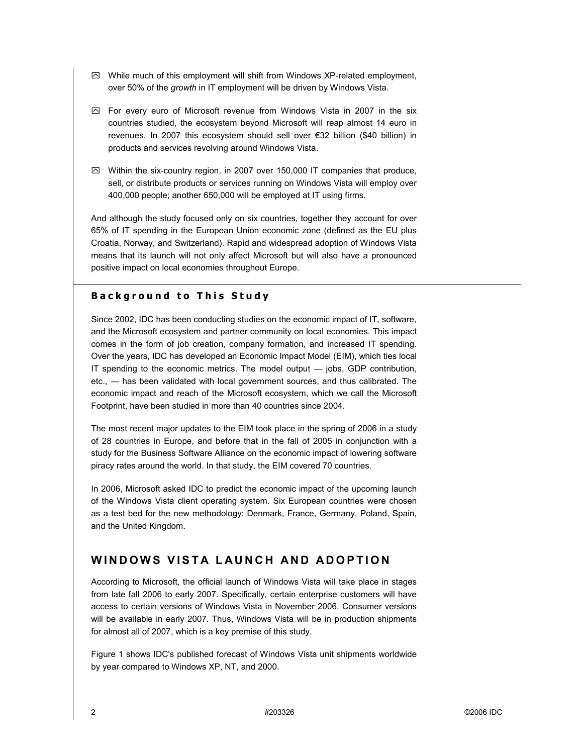- $\boxtimes$  While much of this employment will shift from Windows XP-related employment, over 50% of the *growth* in IT employment will be driven by Windows Vista.
- $\boxtimes$  For every euro of Microsoft revenue from Windows Vista in 2007 in the six countries studied, the ecosystem beyond Microsoft will reap almost 14 euro in revenues. In 2007 this ecosystem should sell over €32 billion (\$40 billion) in products and services revolving around Windows Vista.
- $\boxtimes$  Within the six-country region, in 2007 over 150,000 IT companies that produce, sell, or distribute products or services running on Windows Vista will employ over 400,000 people; another 650,000 will be employed at IT using firms.

And although the study focused only on six countries, together they account for over 65% of IT spending in the European Union economic zone (defined as the EU plus Croatia, Norway, and Switzerland). Rapid and widespread adoption of Windows Vista means that its launch will not only affect Microsoft but will also have a pronounced positive impact on local economies throughout Europe.

## **Background to This Study**

Since 2002, IDC has been conducting studies on the economic impact of IT, software, and the Microsoft ecosystem and partner community on local economies. This impact comes in the form of job creation, company formation, and increased IT spending. Over the years, IDC has developed an Economic Impact Model (EIM), which ties local IT spending to the economic metrics. The model output  $-$  jobs, GDP contribution,  $etc.,$   $-$  has been validated with local government sources, and thus calibrated. The economic impact and reach of the Microsoft ecosystem, which we call the Microsoft Footprint, have been studied in more than 40 countries since 2004.

The most recent major updates to the EIM took place in the spring of 2006 in a study of 28 countries in Europe, and before that in the fall of 2005 in conjunction with a study for the Business Software Alliance on the economic impact of lowering software piracy rates around the world. In that study, the EIM covered 70 countries.

In 2006, Microsoft asked IDC to predict the economic impact of the upcoming launch of the Windows Vista client operating system. Six European countries were chosen as a test bed for the new methodology: Denmark, France, Germany, Poland, Spain, and the United Kingdom.

# **WINDOWS VISTA LAUNCH AND ADOPTION**

According to Microsoft, the official launch of Windows Vista will take place in stages from late fall 2006 to early 2007. Specifically, certain enterprise customers will have access to certain versions of Windows Vista in November 2006. Consumer versions will be available in early 2007. Thus, Windows Vista will be in production shipments for almost all of 2007, which is a key premise of this study.

Figure 1 shows IDC's published forecast of Windows Vista unit shipments worldwide by year compared to Windows XP, NT, and 2000.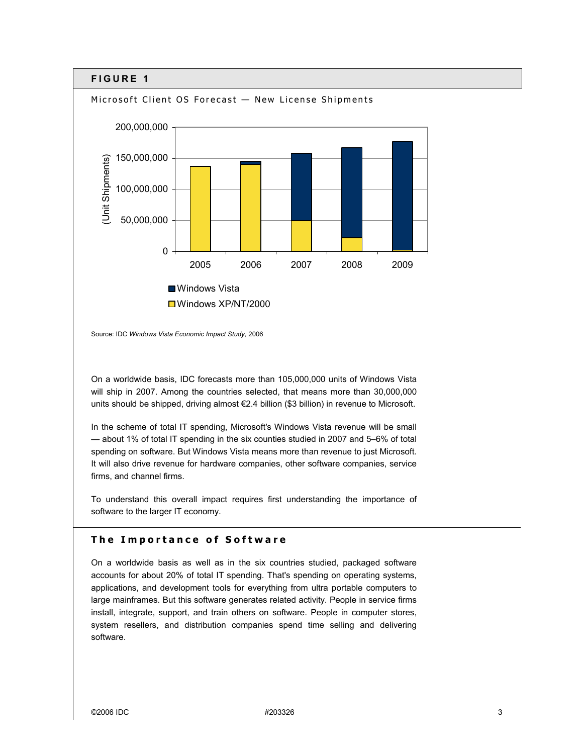

Source: IDC *Windows Vista Economic Impact Study,* 2006

On a worldwide basis, IDC forecasts more than 105,000,000 units of Windows Vista will ship in 2007. Among the countries selected, that means more than 30,000,000 units should be shipped, driving almost €2.4 billion (\$3 billion) in revenue to Microsoft.

In the scheme of total IT spending, Microsoft's Windows Vista revenue will be small - about 1% of total IT spending in the six counties studied in 2007 and 5-6% of total spending on software. But Windows Vista means more than revenue to just Microsoft. It will also drive revenue for hardware companies, other software companies, service firms, and channel firms.

To understand this overall impact requires first understanding the importance of software to the larger IT economy.

## **The Importance of Software**

On a worldwide basis as well as in the six countries studied, packaged software accounts for about 20% of total IT spending. That's spending on operating systems, applications, and development tools for everything from ultra portable computers to large mainframes. But this software generates related activity. People in service firms install, integrate, support, and train others on software. People in computer stores, system resellers, and distribution companies spend time selling and delivering software.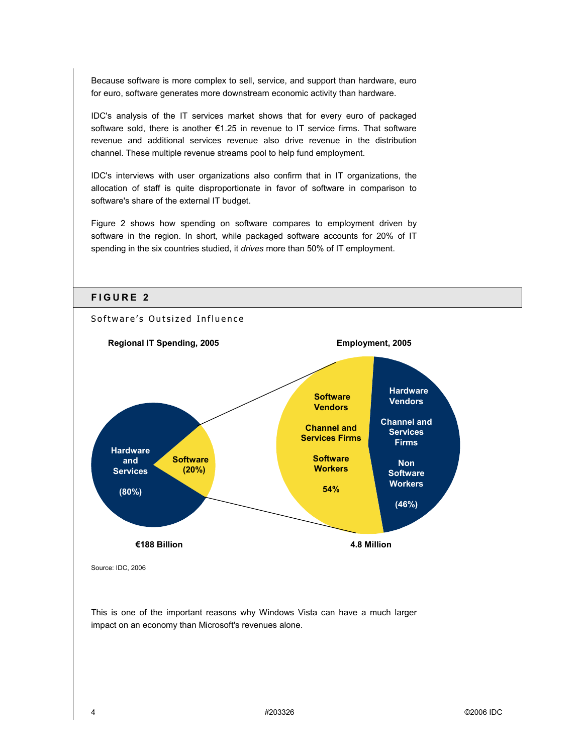Because software is more complex to sell, service, and support than hardware, euro for euro, software generates more downstream economic activity than hardware.

IDC's analysis of the IT services market shows that for every euro of packaged software sold, there is another  $E1.25$  in revenue to IT service firms. That software revenue and additional services revenue also drive revenue in the distribution channel. These multiple revenue streams pool to help fund employment.

IDC's interviews with user organizations also confirm that in IT organizations, the allocation of staff is quite disproportionate in favor of software in comparison to software's share of the external IT budget.

Figure 2 shows how spending on software compares to employment driven by software in the region. In short, while packaged software accounts for 20% of IT spending in the six countries studied, it *drives* more than 50% of IT employment.



This is one of the important reasons why Windows Vista can have a much larger impact on an economy than Microsoft's revenues alone.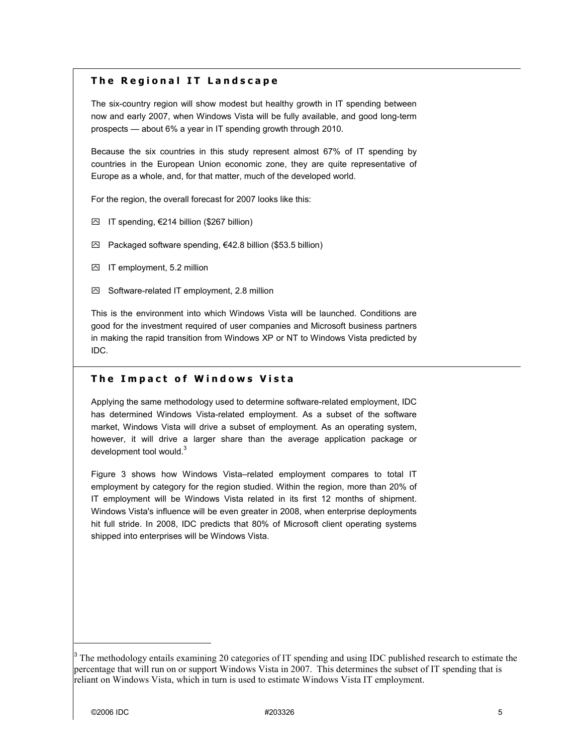## **The Regional IT Landscape**

The six-country region will show modest but healthy growth in IT spending between now and early 2007, when Windows Vista will be fully available, and good long-term prospects  $-$  about 6% a year in IT spending growth through 2010.

Because the six countries in this study represent almost 67% of IT spending by countries in the European Union economic zone, they are quite representative of Europe as a whole, and, for that matter, much of the developed world.

For the region, the overall forecast for 2007 looks like this:

- $\boxtimes$  IT spending,  $\epsilon$ 214 billion (\$267 billion)
- $□$  Packaged software spending, €42.8 billion (\$53.5 billion)
- □ IT employment, 5.2 million
- $\boxtimes$  Software-related IT employment, 2.8 million

This is the environment into which Windows Vista will be launched. Conditions are good for the investment required of user companies and Microsoft business partners in making the rapid transition from Windows XP or NT to Windows Vista predicted by IDC.

#### **The Impact of Windows Vista**

Applying the same methodology used to determine software-related employment, IDC has determined Windows Vista-related employment. As a subset of the software market, Windows Vista will drive a subset of employment. As an operating system, however, it will drive a larger share than the average application package or development tool would.<sup>3</sup>

Figure 3 shows how Windows Vista–related employment compares to total IT employment by category for the region studied. Within the region, more than 20% of IT employment will be Windows Vista related in its first 12 months of shipment. Windows Vista's influence will be even greater in 2008, when enterprise deployments hit full stride. In 2008, IDC predicts that 80% of Microsoft client operating systems shipped into enterprises will be Windows Vista.

<sup>&</sup>lt;sup>3</sup> The methodology entails examining 20 categories of IT spending and using IDC published research to estimate the percentage that will run on or support Windows Vista in 2007. This determines the subset of IT spending that is reliant on Windows Vista, which in turn is used to estimate Windows Vista IT employment.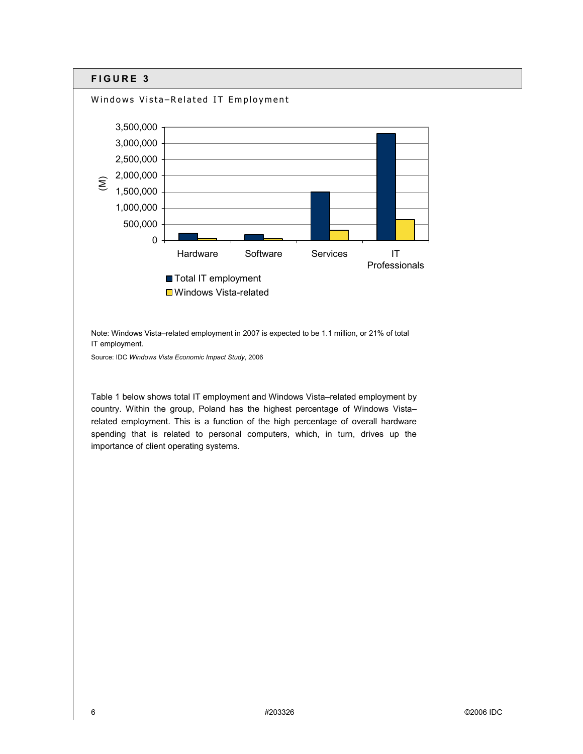

**□** Windows Vista-related

Note: Windows Vista-related employment in 2007 is expected to be 1.1 million, or 21% of total IT employment.

Source: IDC *Windows Vista Economic Impact Study*, 2006

Table 1 below shows total IT employment and Windows Vista-related employment by country. Within the group, Poland has the highest percentage of Windows Vistarelated employment. This is a function of the high percentage of overall hardware spending that is related to personal computers, which, in turn, drives up the importance of client operating systems.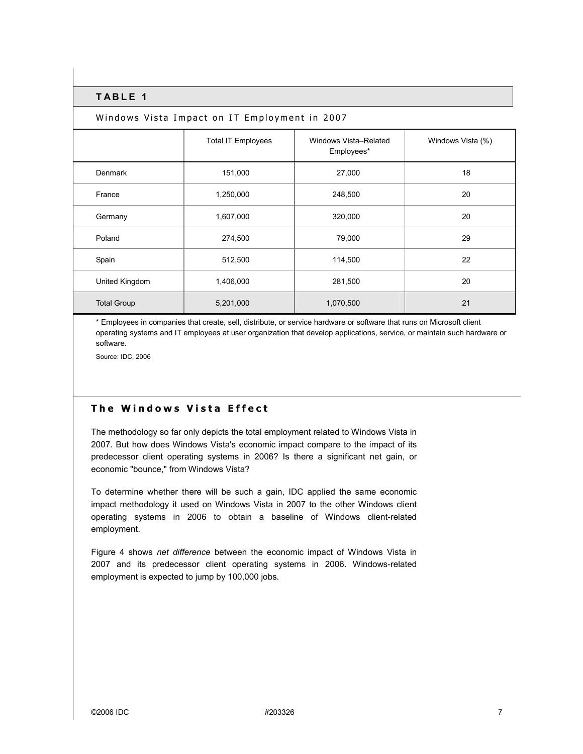#### **TABLE 1**

#### Windows Vista Impact on IT Employment in 2007

|                    | <b>Total IT Employees</b> | Windows Vista-Related<br>Employees* | Windows Vista (%) |
|--------------------|---------------------------|-------------------------------------|-------------------|
| <b>Denmark</b>     | 151,000                   | 27,000                              | 18                |
| France             | 1,250,000                 | 248,500                             | 20                |
| Germany            | 1,607,000                 | 320,000                             | 20                |
| Poland             | 274,500                   | 79,000                              | 29                |
| Spain              | 512,500                   | 114,500                             | 22                |
| United Kingdom     | 1,406,000                 | 281,500                             | 20                |
| <b>Total Group</b> | 5,201,000                 | 1,070,500                           | 21                |

\* Employees in companies that create, sell, distribute, or service hardware or software that runs on Microsoft client operating systems and IT employees at user organization that develop applications, service, or maintain such hardware or software.

Source: IDC, 2006

### **The Windows Vista Effect**

The methodology so far only depicts the total employment related to Windows Vista in 2007. But how does Windows Vista's economic impact compare to the impact of its predecessor client operating systems in 2006? Is there a significant net gain, or economic "bounce," from Windows Vista?

To determine whether there will be such a gain, IDC applied the same economic impact methodology it used on Windows Vista in 2007 to the other Windows client operating systems in 2006 to obtain a baseline of Windows client-related employment.

Figure 4 shows *net difference* between the economic impact of Windows Vista in 2007 and its predecessor client operating systems in 2006. Windows-related employment is expected to jump by 100,000 jobs.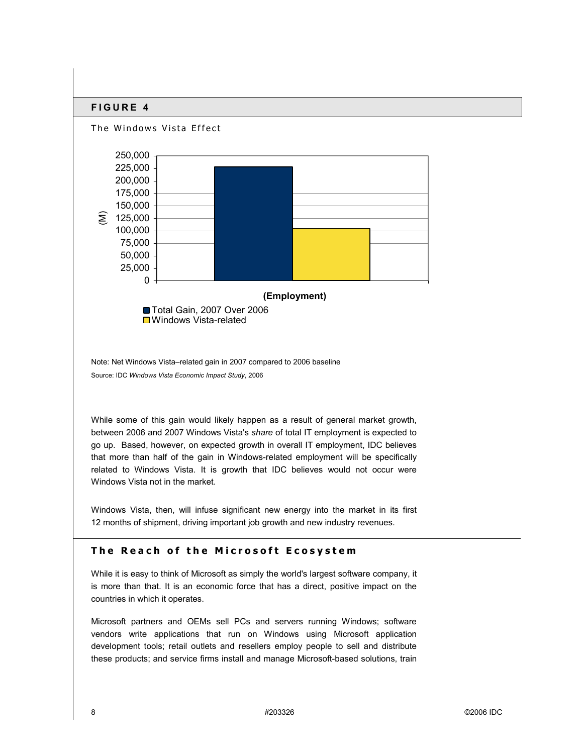

Note: Net Windows Vista-related gain in 2007 compared to 2006 baseline Source: IDC *Windows Vista Economic Impact Study*, 2006

While some of this gain would likely happen as a result of general market growth, between 2006 and 2007 Windows Vista's *share* of total IT employment is expected to go up. Based, however, on expected growth in overall IT employment, IDC believes that more than half of the gain in Windows-related employment will be specifically related to Windows Vista. It is growth that IDC believes would not occur were Windows Vista not in the market.

Windows Vista, then, will infuse significant new energy into the market in its first 12 months of shipment, driving important job growth and new industry revenues.

## **The Reach of the Microsoft Ecosystem**

While it is easy to think of Microsoft as simply the world's largest software company, it is more than that. It is an economic force that has a direct, positive impact on the countries in which it operates.

Microsoft partners and OEMs sell PCs and servers running Windows; software vendors write applications that run on Windows using Microsoft application development tools; retail outlets and resellers employ people to sell and distribute these products; and service firms install and manage Microsoft-based solutions, train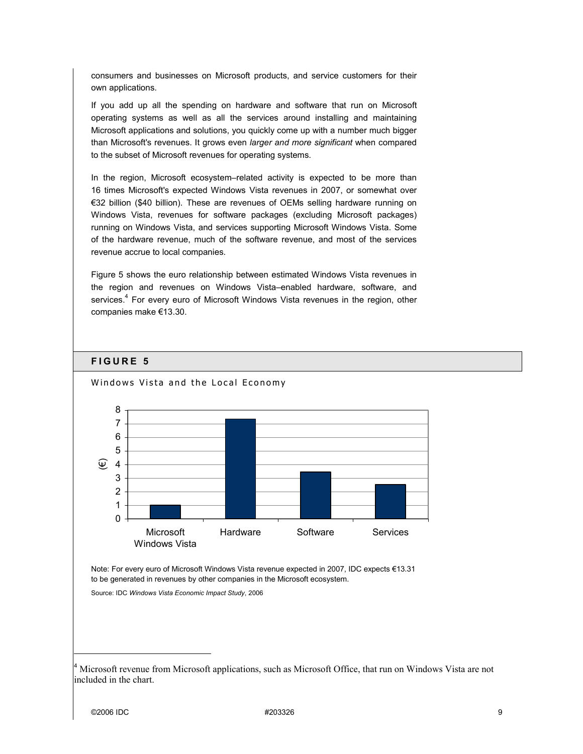consumers and businesses on Microsoft products, and service customers for their own applications.

If you add up all the spending on hardware and software that run on Microsoft operating systems as well as all the services around installing and maintaining Microsoft applications and solutions, you quickly come up with a number much bigger than Microsoft's revenues. It grows even *larger and more significant* when compared to the subset of Microsoft revenues for operating systems.

In the region, Microsoft ecosystem-related activity is expected to be more than 16 times Microsoft's expected Windows Vista revenues in 2007, or somewhat over €32 billion (\$40 billion). These are revenues of OEMs selling hardware running on Windows Vista, revenues for software packages (excluding Microsoft packages) running on Windows Vista, and services supporting Microsoft Windows Vista. Some of the hardware revenue, much of the software revenue, and most of the services revenue accrue to local companies.

Figure 5 shows the euro relationship between estimated Windows Vista revenues in the region and revenues on Windows Vista-enabled hardware, software, and services.<sup>4</sup> For every euro of Microsoft Windows Vista revenues in the region, other companies make €13.30.

### **FIGURE 5**



Windows Vista and the Local Economy

Note: For every euro of Microsoft Windows Vista revenue expected in 2007, IDC expects €13.31 to be generated in revenues by other companies in the Microsoft ecosystem.

Source: IDC *Windows Vista Economic Impact Study*, 2006

<sup>4</sup> Microsoft revenue from Microsoft applications, such as Microsoft Office, that run on Windows Vista are not included in the chart.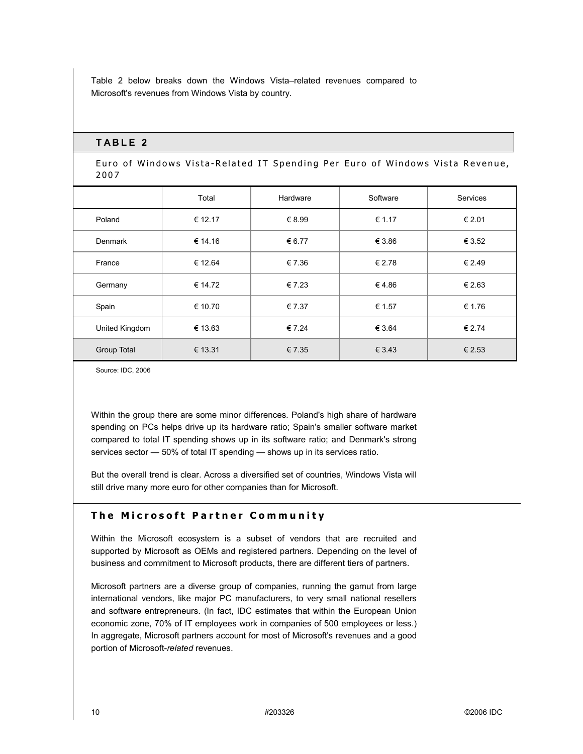Table 2 below breaks down the Windows Vista-related revenues compared to Microsoft's revenues from Windows Vista by country.

### **TABLE 2**

Euro of Windows Vista-Related IT Spending Per Euro of Windows Vista Revenue, 2007

|                | Total   | Hardware | Software | Services |
|----------------|---------|----------|----------|----------|
| Poland         | € 12.17 | € 8.99   | € 1.17   | € 2.01   |
| Denmark        | € 14.16 | € 6.77   | € 3.86   | € 3.52   |
| France         | € 12.64 | € 7.36   | € 2.78   | € 2.49   |
| Germany        | € 14.72 | €7.23    | €4.86    | € 2.63   |
| Spain          | € 10.70 | € 7.37   | € 1.57   | € 1.76   |
| United Kingdom | € 13.63 | € 7.24   | € 3.64   | € 2.74   |
| Group Total    | € 13.31 | € 7.35   | € 3.43   | € 2.53   |

Source: IDC, 2006

Within the group there are some minor differences. Poland's high share of hardware spending on PCs helps drive up its hardware ratio; Spain's smaller software market compared to total IT spending shows up in its software ratio; and Denmark's strong services sector  $-$  50% of total IT spending  $-$  shows up in its services ratio.

But the overall trend is clear. Across a diversified set of countries, Windows Vista will still drive many more euro for other companies than for Microsoft.

## **The Microsoft Partner Community**

Within the Microsoft ecosystem is a subset of vendors that are recruited and supported by Microsoft as OEMs and registered partners. Depending on the level of business and commitment to Microsoft products, there are different tiers of partners.

Microsoft partners are a diverse group of companies, running the gamut from large international vendors, like major PC manufacturers, to very small national resellers and software entrepreneurs. (In fact, IDC estimates that within the European Union economic zone, 70% of IT employees work in companies of 500 employees or less.) In aggregate, Microsoft partners account for most of Microsoft's revenues and a good portion of Microsoft-*related* revenues.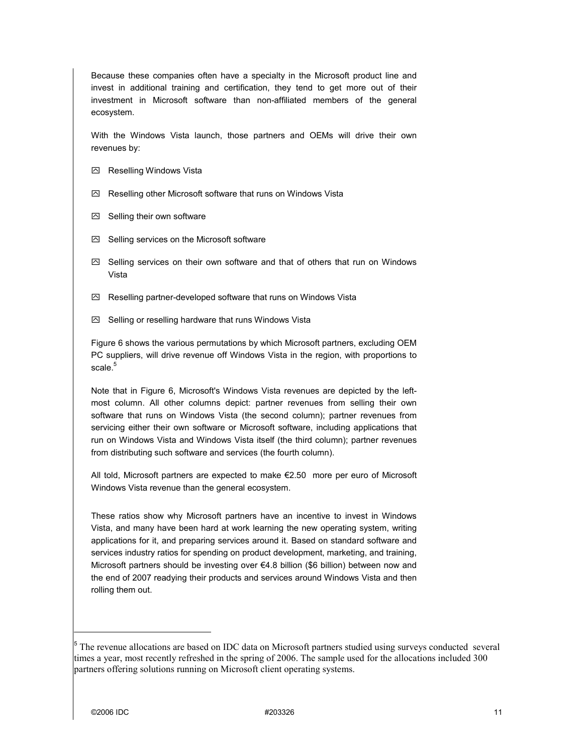Because these companies often have a specialty in the Microsoft product line and invest in additional training and certification, they tend to get more out of their investment in Microsoft software than non-affiliated members of the general ecosystem.

With the Windows Vista launch, those partners and OEMs will drive their own revenues by:

- Reselling Windows Vista
- $\boxtimes$  Reselling other Microsoft software that runs on Windows Vista
- $\boxdot$  Selling their own software
- $\boxtimes$  Selling services on the Microsoft software
- $\boxtimes$  Selling services on their own software and that of others that run on Windows Vista
- $\boxtimes$  Reselling partner-developed software that runs on Windows Vista
- $\boxtimes$  Selling or reselling hardware that runs Windows Vista

Figure 6 shows the various permutations by which Microsoft partners, excluding OEM PC suppliers, will drive revenue off Windows Vista in the region, with proportions to scale. $^5\,$ 

Note that in Figure 6, Microsoft's Windows Vista revenues are depicted by the leftmost column. All other columns depict: partner revenues from selling their own software that runs on Windows Vista (the second column); partner revenues from servicing either their own software or Microsoft software, including applications that run on Windows Vista and Windows Vista itself (the third column); partner revenues from distributing such software and services (the fourth column).

All told, Microsoft partners are expected to make  $\epsilon$ 2.50 more per euro of Microsoft Windows Vista revenue than the general ecosystem.

These ratios show why Microsoft partners have an incentive to invest in Windows Vista, and many have been hard at work learning the new operating system, writing applications for it, and preparing services around it. Based on standard software and services industry ratios for spending on product development, marketing, and training, Microsoft partners should be investing over  $\epsilon$ 4.8 billion (\$6 billion) between now and the end of 2007 readying their products and services around Windows Vista and then rolling them out.

<sup>&</sup>lt;sup>5</sup> The revenue allocations are based on IDC data on Microsoft partners studied using surveys conducted several times a year, most recently refreshed in the spring of 2006. The sample used for the allocations included 300 partners offering solutions running on Microsoft client operating systems.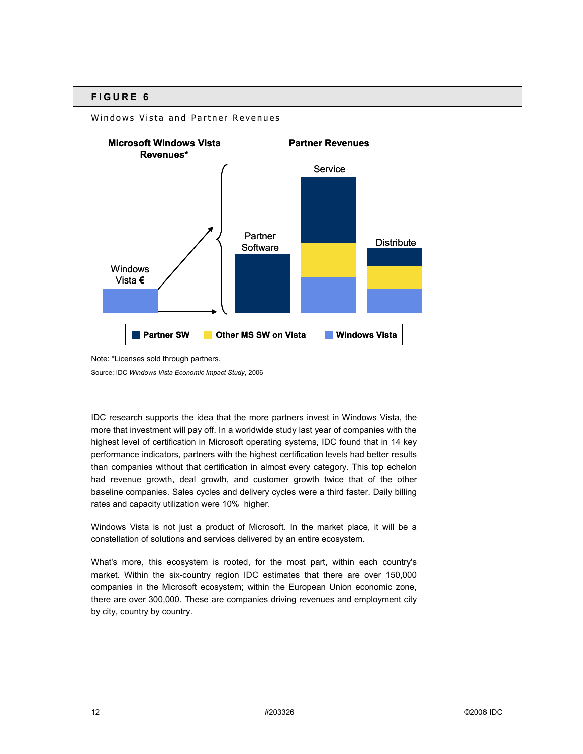

Note: \*Licenses sold through partners.

Source: IDC *Windows Vista Economic Impact Study*, 2006

IDC research supports the idea that the more partners invest in Windows Vista, the more that investment will pay off. In a worldwide study last year of companies with the highest level of certification in Microsoft operating systems, IDC found that in 14 key performance indicators, partners with the highest certification levels had better results than companies without that certification in almost every category. This top echelon had revenue growth, deal growth, and customer growth twice that of the other baseline companies. Sales cycles and delivery cycles were a third faster. Daily billing rates and capacity utilization were 10% higher.

Windows Vista is not just a product of Microsoft. In the market place, it will be a constellation of solutions and services delivered by an entire ecosystem.

What's more, this ecosystem is rooted, for the most part, within each country's market. Within the six-country region IDC estimates that there are over 150,000 companies in the Microsoft ecosystem; within the European Union economic zone, there are over 300,000. These are companies driving revenues and employment city by city, country by country.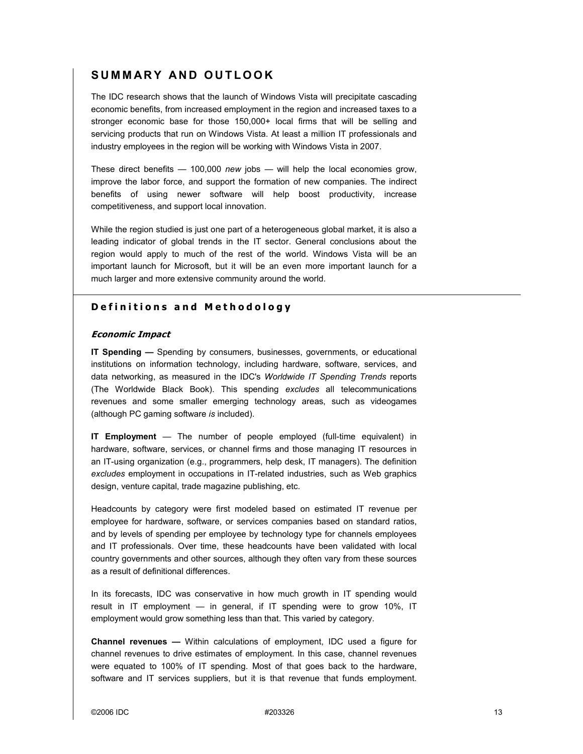## **SUMMARY AND OUTLOOK**

The IDC research shows that the launch of Windows Vista will precipitate cascading economic benefits, from increased employment in the region and increased taxes to a stronger economic base for those 150,000+ local firms that will be selling and servicing products that run on Windows Vista. At least a million IT professionals and industry employees in the region will be working with Windows Vista in 2007.

These direct benefits  $-$  100,000 *new* jobs  $-$  will help the local economies grow, improve the labor force, and support the formation of new companies. The indirect benefits of using newer software will help boost productivity, increase competitiveness, and support local innovation.

While the region studied is just one part of a heterogeneous global market, it is also a leading indicator of global trends in the IT sector. General conclusions about the region would apply to much of the rest of the world. Windows Vista will be an important launch for Microsoft, but it will be an even more important launch for a much larger and more extensive community around the world.

## **Definitions and Methodology**

#### **Economic Impact**

**IT Spending —** Spending by consumers, businesses, governments, or educational institutions on information technology, including hardware, software, services, and data networking, as measured in the IDC's *Worldwide IT Spending Trends* reports (The Worldwide Black Book). This spending *excludes* all telecommunications revenues and some smaller emerging technology areas, such as videogames (although PC gaming software *is* included).

**IT Employment** — The number of people employed (full-time equivalent) in hardware, software, services, or channel firms and those managing IT resources in an IT-using organization (e.g., programmers, help desk, IT managers). The definition *excludes* employment in occupations in IT-related industries, such as Web graphics design, venture capital, trade magazine publishing, etc.

Headcounts by category were first modeled based on estimated IT revenue per employee for hardware, software, or services companies based on standard ratios, and by levels of spending per employee by technology type for channels employees and IT professionals. Over time, these headcounts have been validated with local country governments and other sources, although they often vary from these sources as a result of definitional differences.

In its forecasts, IDC was conservative in how much growth in IT spending would result in IT employment  $-$  in general, if IT spending were to grow 10%, IT employment would grow something less than that. This varied by category.

**Channel revenues –** Within calculations of employment, IDC used a figure for channel revenues to drive estimates of employment. In this case, channel revenues were equated to 100% of IT spending. Most of that goes back to the hardware, software and IT services suppliers, but it is that revenue that funds employment.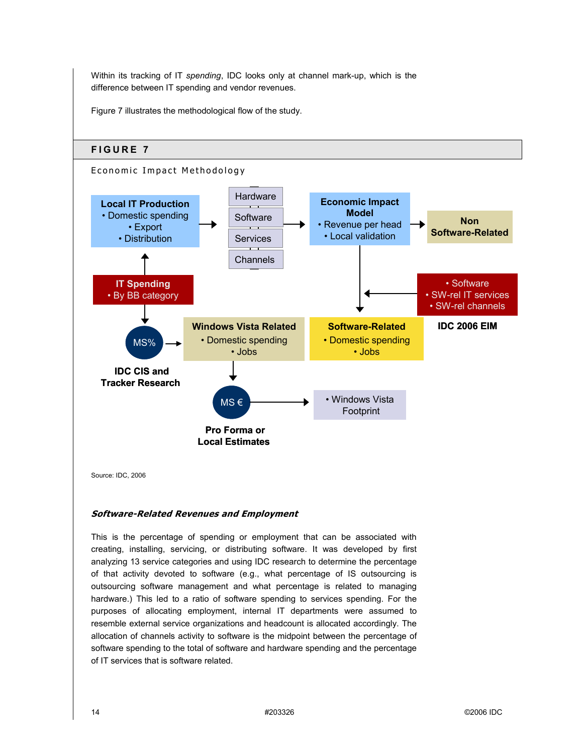Within its tracking of IT *spending*, IDC looks only at channel mark-up, which is the difference between IT spending and vendor revenues.

Figure 7 illustrates the methodological flow of the study.



#### **Software-Related Revenues and Employment**

This is the percentage of spending or employment that can be associated with creating, installing, servicing, or distributing software. It was developed by first analyzing 13 service categories and using IDC research to determine the percentage of that activity devoted to software (e.g., what percentage of IS outsourcing is outsourcing software management and what percentage is related to managing hardware.) This led to a ratio of software spending to services spending. For the purposes of allocating employment, internal IT departments were assumed to resemble external service organizations and headcount is allocated accordingly. The allocation of channels activity to software is the midpoint between the percentage of software spending to the total of software and hardware spending and the percentage of IT services that is software related.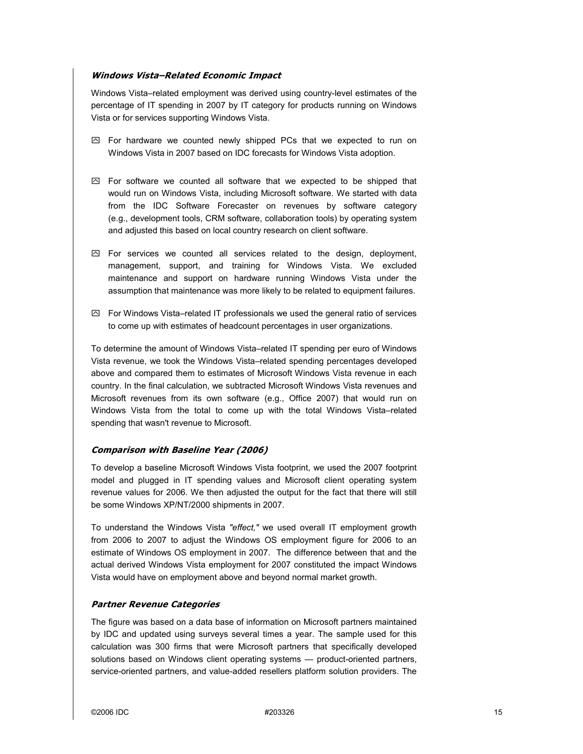#### **Windows Vista-Related Economic Impact**

Windows Vista-related employment was derived using country-level estimates of the percentage of IT spending in 2007 by IT category for products running on Windows Vista or for services supporting Windows Vista.

- $\boxtimes$  For hardware we counted newly shipped PCs that we expected to run on Windows Vista in 2007 based on IDC forecasts for Windows Vista adoption.
- $\boxtimes$  For software we counted all software that we expected to be shipped that would run on Windows Vista, including Microsoft software. We started with data from the IDC Software Forecaster on revenues by software category (e.g., development tools, CRM software, collaboration tools) by operating system and adjusted this based on local country research on client software.
- $\boxtimes$  For services we counted all services related to the design, deployment, management, support, and training for Windows Vista. We excluded maintenance and support on hardware running Windows Vista under the assumption that maintenance was more likely to be related to equipment failures.
- $\boxtimes$  For Windows Vista–related IT professionals we used the general ratio of services to come up with estimates of headcount percentages in user organizations.

To determine the amount of Windows Vista–related IT spending per euro of Windows Vista revenue, we took the Windows Vista–related spending percentages developed above and compared them to estimates of Microsoft Windows Vista revenue in each country. In the final calculation, we subtracted Microsoft Windows Vista revenues and Microsoft revenues from its own software (e.g., Office 2007) that would run on Windows Vista from the total to come up with the total Windows Vista-related spending that wasn't revenue to Microsoft.

#### **Comparison with Baseline Year (2006)**

To develop a baseline Microsoft Windows Vista footprint, we used the 2007 footprint model and plugged in IT spending values and Microsoft client operating system revenue values for 2006. We then adjusted the output for the fact that there will still be some Windows XP/NT/2000 shipments in 2007.

To understand the Windows Vista *"effect,"* we used overall IT employment growth from 2006 to 2007 to adjust the Windows OS employment figure for 2006 to an estimate of Windows OS employment in 2007. The difference between that and the actual derived Windows Vista employment for 2007 constituted the impact Windows Vista would have on employment above and beyond normal market growth.

#### **Partner Revenue Categories**

The figure was based on a data base of information on Microsoft partners maintained by IDC and updated using surveys several times a year. The sample used for this calculation was 300 firms that were Microsoft partners that specifically developed solutions based on Windows client operating systems - product-oriented partners, service-oriented partners, and value-added resellers platform solution providers. The